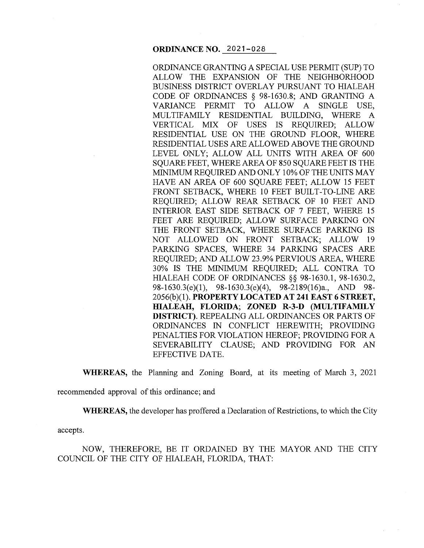#### **ORDINANCE NO.** 2021-028

ORDINANCE GRANTING A SPECIAL USE PERMIT (SUP) TO ALLOW THE EXPANSION OF THE NEIGHBORHOOD BUSINESS DISTRICT OVERLAY PURSUANT TO HIALEAH CODE OF ORDINANCES § 98-1630.8; AND GRANTING A VARIANCE PERMIT TO ALLOW A SINGLE USE, MULTIFAMILY RESIDENTIAL BUILDING, WHERE A VERTICAL MIX OF USES IS REQUIRED; ALLOW RESIDENTIAL USE ON THE GROUND FLOOR, WHERE RESIDENTIAL USES ARE ALLOWED ABOVE THE GROUND LEVEL ONLY; ALLOW ALL UNITS WITH AREA OF 600 SOUARE FEET, WHERE AREA OF 850 SOUARE FEET IS THE MINIMUM REQUIRED AND ONLY 10% OF THE UNITS MAY HAVE AN AREA OF 600 SQUARE FEET; ALLOW 15 FEET FRONT SETBACK, WHERE 10 FEET BUILT-TO-LINE ARE REQUIRED; ALLOW REAR SETBACK OF 10 FEET AND INTERIOR EAST SIDE SETBACK OF 7 FEET, WHERE 15 FEET ARE REQUIRED; ALLOW SURFACE PARKING ON THE FRONT SETBACK, WHERE SURFACE PARKING IS NOT ALLOWED ON FRONT SETBACK; ALLOW 19 PARKING SPACES, WHERE 34 PARKING SPACES ARE REQUIRED; AND ALLOW 23.9% PERVIOUS AREA, WHERE 30% IS THE MINIMUM REQUIRED; ALL CONTRA TO HIALEAH CODE OF ORDINANCES §§ 98-1630.1, 98-1630.2, 98-1630.3(e)(l), 98-1630.3(e)(4), 98-2189(16)a., AND 98- 2056(b)(l). **PROPERTY LOCATED AT 241EAST6 STREET, HIALEAH, FLORIDA; ZONED R-3-D (MULTIFAMILY DISTRICT).** REPEALING ALL ORDINANCES OR PARTS OF ORDINANCES IN CONFLICT HEREWITH; PROVIDING PENALTIES FOR VIOLATION HEREOF; PROVIDING FORA SEVERABILITY CLAUSE; AND PROVIDING FOR AN EFFECTIVE DATE.

**WHEREAS,** the Planning and Zoning Board, at its meeting of March 3, 2021 recommended approval of this ordinance; and

**WHEREAS,** the developer has proffered a Declaration of Restrictions, to which the City

accepts.

NOW, THEREFORE, BE IT ORDAINED BY THE MAYOR AND THE CITY COUNCIL OF THE CITY OF HIALEAH, FLORIDA, THAT: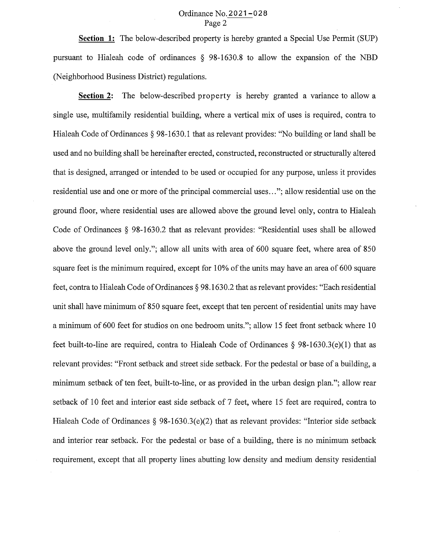### Ordinance No. 2021-028 Page 2

**Section 1:** The below-described property is hereby granted a Special Use Permit (SUP) pursuant to Hialeah code of ordinances § 98-1630.8 to allow the expansion of the NBD (Neighborhood Business District) regulations.

**Section** 2: The below-described property is hereby granted a variance to allow a single use, multifamily residential building, where a vertical mix of uses is required, contra to Hialeah Code of Ordinances § 98-1630.1 that as relevant provides: "No building or land shall be used and no building shall be hereinafter erected, constructed, reconstructed or structurally altered that is designed, arranged or intended to be used or occupied for any purpose, unless it provides residential use and one or more of the principal commercial uses ... "; allow residential use on the ground floor, where residential uses are allowed above the ground level only, contra to Hialeah Code of Ordinances § 98-1630.2 that as relevant provides: "Residential uses shall be allowed above the ground level only."; allow all units with area of 600 square feet, where area of 850 square feet is the minimum required, except for 10% of the units may have an area of 600 square feet, contra to Hialeah Code of Ordinances § 98.1630.2 that as relevant provides: "Each residential unit shall have minimum of 850 square feet, except that ten percent of residential units may have a minimum of 600 feet for studios on one bedroom units."; allow 15 feet front setback where 10 feet built-to-line are required, contra to Hialeah Code of Ordinances  $\S$  98-1630.3(e)(1) that as relevant provides: "Front setback and street side setback. For the pedestal or base of a building, a minimum setback of ten feet, built-to-line, or as provided in the urban design plan."; allow rear setback of 10 feet and interior east side setback of 7 feet, where 15 feet are required, contra to Hialeah Code of Ordinances  $\S$  98-1630.3(e)(2) that as relevant provides: "Interior side setback and interior rear setback. For the pedestal or base of a building, there is no minimum setback requirement, except that all property lines abutting low density and medium density residential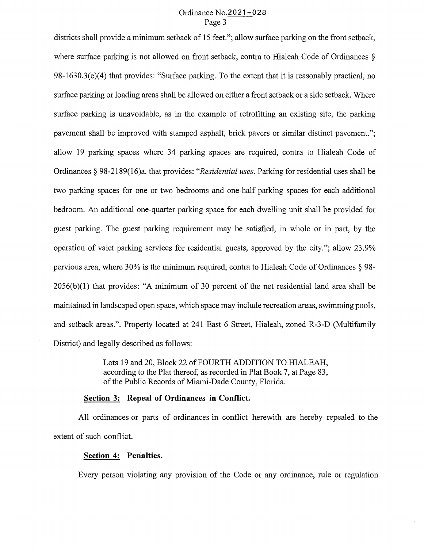# Ordinance No.2021-028 Page 3

districts shall provide a minimum setback of 15 feet."; allow surface parking on the front setback, where surface parking is not allowed on front setback, contra to Hialeah Code of Ordinances § 98-1630.3(e)(4) that provides: "Surface parking. To the extent that it is reasonably practical, no surface parking or loading areas shall be allowed on either a front setback or a side setback. Where surface parking is unavoidable, as in the example of retrofitting an existing site, the parking pavement shall be improved with stamped asphalt, brick pavers or similar distinct pavement."; allow 19 parking spaces where 34 parking spaces are required, contra to Hialeah Code of Ordinances§ 98-2189(16)a. that provides: *"Residential uses.* Parking for residential uses shall be two parking spaces for one or two bedrooms and one-half parking spaces for each additional bedroom. An additional one-quarter parking space for each dwelling unit shall be provided for guest parking. The guest parking requirement may be satisfied, in whole or in part, by the operation of valet parking services for residential guests, approved by the city."; allow 23.9% pervious area, where 30% is the minimum required, contra to Hialeah Code of Ordinances § 98- 2056(b)(l) that provides: "A minimum of 30 percent of the net residential land area shall be maintained in landscaped open space, which space may include recreation areas, swimming pools, and setback areas.". Property located at 241 East 6 Street, Hialeah, zoned R-3-D (Multifamily District) and legally described as follows:

> Lots 19 and 20, Block 22 of FOURTH ADDITION TO HIALEAH, according to the Plat thereof, as recorded in Plat Book 7, at Page 83, of the Public Records of Miami-Dade County, Florida.

# **Section 3: Repeal of Ordinances in Conflict.**

All ordinances or parts of ordinances in conflict herewith are hereby repealed to the extent of such conflict.

## **Section 4: Penalties.**

Every person violating any provision of the Code or any ordinance, rule or regulation